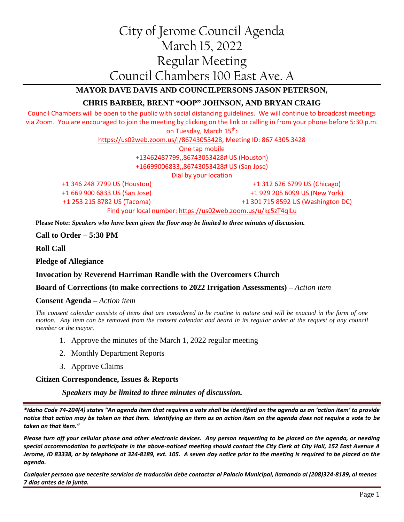# City of Jerome Council Agenda March 15, 2022 Regular Meeting Council Chambers 100 East Ave. A

# **MAYOR DAVE DAVIS AND COUNCILPERSONS JASON PETERSON,**

## **CHRIS BARBER, BRENT "OOP" JOHNSON, AND BRYAN CRAIG**

Council Chambers will be open to the public with social distancing guidelines. We will continue to broadcast meetings via Zoom. You are encouraged to join the meeting by clicking on the link or calling in from your phone before 5:30 p.m. on Tuesday, March 15<sup>th</sup>:

[https://us02web.zoom.us/j/86743053428,](https://us02web.zoom.us/j/86743053428) Meeting ID: 867 4305 3428 One tap mobile +13462487799,,86743053428# US (Houston) +16699006833,,86743053428# US (San Jose) Dial by your location +1 346 248 7799 US (Houston)

+1 669 900 6833 US (San Jose) +1 253 215 8782 US (Tacoma)

+1 312 626 6799 US (Chicago) +1 929 205 6099 US (New York) +1 301 715 8592 US (Washington DC) Find your local number:<https://us02web.zoom.us/u/kc5zT4qlLu>

**Please Note:** *Speakers who have been given the floor may be limited to three minutes of discussion.*

#### **Call to Order – 5:30 PM**

**Roll Call**

**Pledge of Allegiance**

#### **Invocation by Reverend Harriman Randle with the Overcomers Church**

#### **Board of Corrections (to make corrections to 2022 Irrigation Assessments) –** *Action item*

#### **Consent Agenda –** *Action item*

*The consent calendar consists of items that are considered to be routine in nature and will be enacted in the form of one motion. Any item can be removed from the consent calendar and heard in its regular order at the request of any council member or the mayor.*

- 1. Approve the minutes of the March 1, 2022 regular meeting
- 2. Monthly Department Reports
- 3. Approve Claims

#### **Citizen Correspondence, Issues & Reports**

*Speakers may be limited to three minutes of discussion.*

*\*Idaho Code 74-204(4) states "An agenda item that requires a vote shall be identified on the agenda as an 'action item' to provide notice that action may be taken on that item. Identifying an item as an action item on the agenda does not require a vote to be taken on that item."*

*Please turn off your cellular phone and other electronic devices. Any person requesting to be placed on the agenda, or needing special accommodation to participate in the above-noticed meeting should contact the City Clerk at City Hall, 152 East Avenue A Jerome, ID 83338, or by telephone at 324-8189, ext. 105. A seven day notice prior to the meeting is required to be placed on the agenda.* 

*Cualquier persona que necesite servicios de traducción debe contactar al Palacio Municipal, llamando al (208)324-8189, al menos 7 días antes de la junta.*